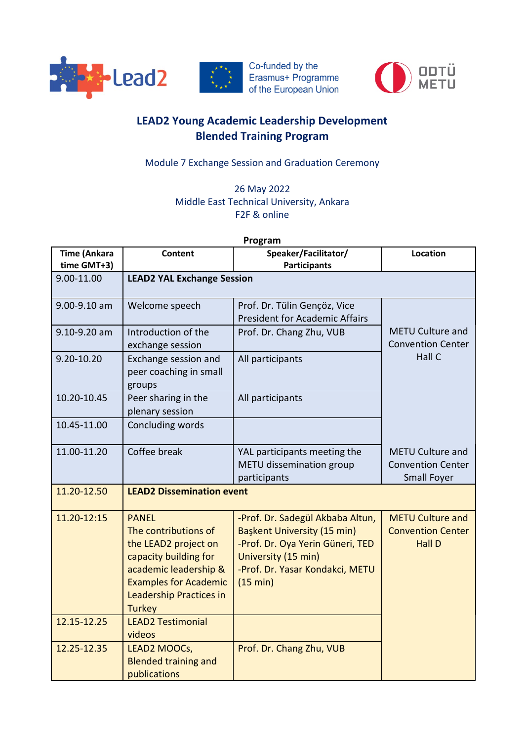

Co-funded by the  $\begin{array}{|c|c|c|c|}\n\hline\n\text{***} & \text{Co-fanded by the  
Erasmus+ Programme  
of the European Union\n\end{array}$ of the European Union



## **LEAD2 Young Academic Leadership Development Blended Training Program**

Module 7 Exchange Session and Graduation Ceremony

26 May 2022 Middle East Technical University, Ankara F2F & online

**Program**

| <b>Time (Ankara</b> | <b>Content</b>                                                                                                                                                                                    | Speaker/Facilitator/                                                                                                                                                      | Location                                                                  |  |
|---------------------|---------------------------------------------------------------------------------------------------------------------------------------------------------------------------------------------------|---------------------------------------------------------------------------------------------------------------------------------------------------------------------------|---------------------------------------------------------------------------|--|
| time GMT+3)         |                                                                                                                                                                                                   | <b>Participants</b>                                                                                                                                                       |                                                                           |  |
| 9.00-11.00          | <b>LEAD2 YAL Exchange Session</b>                                                                                                                                                                 |                                                                                                                                                                           |                                                                           |  |
| 9.00-9.10 am        | Welcome speech                                                                                                                                                                                    | Prof. Dr. Tülin Gençöz, Vice<br><b>President for Academic Affairs</b>                                                                                                     |                                                                           |  |
| 9.10-9.20 am        | Introduction of the<br>exchange session                                                                                                                                                           | Prof. Dr. Chang Zhu, VUB                                                                                                                                                  | <b>METU Culture and</b><br><b>Convention Center</b>                       |  |
| 9.20-10.20          | Exchange session and<br>peer coaching in small<br>groups                                                                                                                                          | All participants                                                                                                                                                          | Hall C                                                                    |  |
| 10.20-10.45         | Peer sharing in the<br>plenary session                                                                                                                                                            | All participants                                                                                                                                                          |                                                                           |  |
| 10.45-11.00         | Concluding words                                                                                                                                                                                  |                                                                                                                                                                           |                                                                           |  |
| 11.00-11.20         | Coffee break                                                                                                                                                                                      | YAL participants meeting the<br>METU dissemination group<br>participants                                                                                                  | <b>METU Culture and</b><br><b>Convention Center</b><br><b>Small Foyer</b> |  |
| 11.20-12.50         | <b>LEAD2 Dissemination event</b>                                                                                                                                                                  |                                                                                                                                                                           |                                                                           |  |
| 11.20-12:15         | <b>PANEL</b><br>The contributions of<br>the LEAD2 project on<br>capacity building for<br>academic leadership &<br><b>Examples for Academic</b><br><b>Leadership Practices in</b><br><b>Turkey</b> | -Prof. Dr. Sadegül Akbaba Altun,<br>Başkent University (15 min)<br>-Prof. Dr. Oya Yerin Güneri, TED<br>University (15 min)<br>-Prof. Dr. Yasar Kondakci, METU<br>(15 min) | <b>METU Culture and</b><br><b>Convention Center</b><br><b>Hall D</b>      |  |
| 12.15-12.25         | <b>LEAD2 Testimonial</b><br>videos                                                                                                                                                                |                                                                                                                                                                           |                                                                           |  |
| 12.25-12.35         | LEAD2 MOOCs,<br><b>Blended training and</b><br>publications                                                                                                                                       | Prof. Dr. Chang Zhu, VUB                                                                                                                                                  |                                                                           |  |